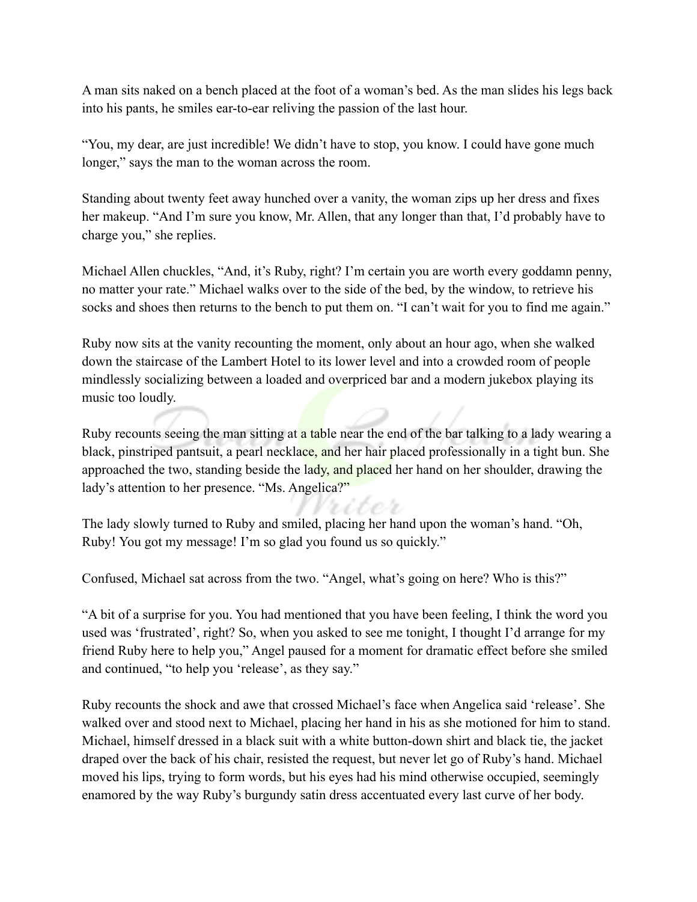A man sits naked on a bench placed at the foot of a woman's bed. As the man slides his legs back into his pants, he smiles ear-to-ear reliving the passion of the last hour.

"You, my dear, are just incredible! We didn't have to stop, you know. I could have gone much longer," says the man to the woman across the room.

Standing about twenty feet away hunched over a vanity, the woman zips up her dress and fixes her makeup. "And I'm sure you know, Mr. Allen, that any longer than that, I'd probably have to charge you," she replies.

Michael Allen chuckles, "And, it's Ruby, right? I'm certain you are worth every goddamn penny, no matter your rate." Michael walks over to the side of the bed, by the window, to retrieve his socks and shoes then returns to the bench to put them on. "I can't wait for you to find me again."

Ruby now sits at the vanity recounting the moment, only about an hour ago, when she walked down the staircase of the Lambert Hotel to its lower level and into a crowded room of people mindlessly socializing between a loaded and overpriced bar and a modern jukebox playing its music too loudly.

Ruby recounts seeing the man sitting at a table near the end of the bar talking to a lady wearing a black, pinstriped pantsuit, a pearl necklace, and her hair placed professionally in a tight bun. She approached the two, standing beside the lady, and placed her hand on her shoulder, drawing the lady's attention to her presence. "Ms. Angelica?"

The lady slowly turned to Ruby and smiled, placing her hand upon the woman's hand. "Oh, Ruby! You got my message! I'm so glad you found us so quickly."

Confused, Michael sat across from the two. "Angel, what's going on here? Who is this?"

"A bit of a surprise for you. You had mentioned that you have been feeling, I think the word you used was 'frustrated', right? So, when you asked to see me tonight, I thought I'd arrange for my friend Ruby here to help you," Angel paused for a moment for dramatic effect before she smiled and continued, "to help you 'release', as they say."

Ruby recounts the shock and awe that crossed Michael's face when Angelica said 'release'. She walked over and stood next to Michael, placing her hand in his as she motioned for him to stand. Michael, himself dressed in a black suit with a white button-down shirt and black tie, the jacket draped over the back of his chair, resisted the request, but never let go of Ruby's hand. Michael moved his lips, trying to form words, but his eyes had his mind otherwise occupied, seemingly enamored by the way Ruby's burgundy satin dress accentuated every last curve of her body.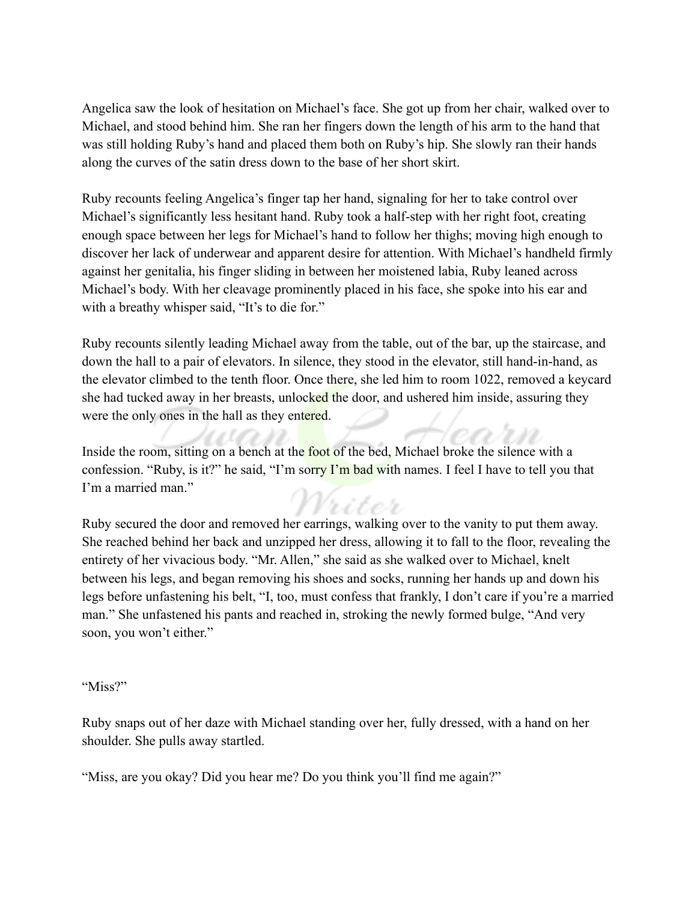Angelica saw the look of hesitation on Michael's face. She got up from her chair, walked over to Michael, and stood behind him. She ran her fingers down the length of his arm to the hand that was still holding Ruby's hand and placed them both on Ruby's hip. She slowly ran their hands along the curves of the satin dress down to the base of her short skirt.

Ruby recounts feeling Angelica's finger tap her hand, signaling for her to take control over Michael's significantly less hesitant hand. Ruby took a half-step with her right foot, creating enough space between her legs for Michael's hand to follow her thighs; moving high enough to discover her lack of underwear and apparent desire for attention. With Michael's handheld firmly against her genitalia, his finger sliding in between her moistened labia, Ruby leaned across Michael's body. With her cleavage prominently placed in his face, she spoke into his ear and with a breathy whisper said, "It's to die for."

Ruby recounts silently leading Michael away from the table, out of the bar, up the staircase, and down the hall to a pair of elevators. In silence, they stood in the elevator, still hand-in-hand, as the elevator climbed to the tenth floor. Once there, she led him to room 1022, removed a keycard she had tucked away in her breasts, unlocked the door, and ushered him inside, assuring they were the only ones in the hall as they entered.

Inside the room, sitting on a bench at the foot of the bed, Michael broke the silence with a confession. "Ruby, is it?" he said, "I'm sorry I'm bad with names. I feel I have to tell you that I'm a married man."

Ruby secured the door and removed her earrings, walking over to the vanity to put them away. She reached behind her back and unzipped her dress, allowing it to fall to the floor, revealing the entirety of her vivacious body. "Mr. Allen," she said as she walked over to Michael, knelt between his legs, and began removing his shoes and socks, running her hands up and down his legs before unfastening his belt, "I, too, must confess that frankly, I don't care if you're a married man." She unfastened his pants and reached in, stroking the newly formed bulge, "And very soon, you won't either."

## "Miss?"

Ruby snaps out of her daze with Michael standing over her, fully dressed, with a hand on her shoulder. She pulls away startled.

"Miss, are you okay? Did you hear me? Do you think you'll find me again?"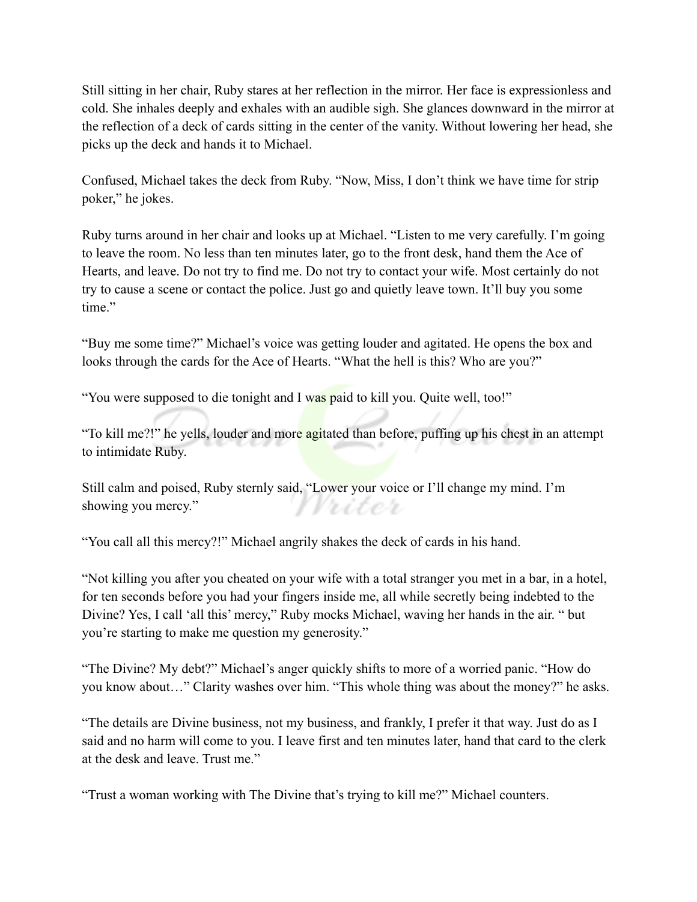Still sitting in her chair, Ruby stares at her reflection in the mirror. Her face is expressionless and cold. She inhales deeply and exhales with an audible sigh. She glances downward in the mirror at the reflection of a deck of cards sitting in the center of the vanity. Without lowering her head, she picks up the deck and hands it to Michael.

Confused, Michael takes the deck from Ruby. "Now, Miss, I don't think we have time for strip poker," he jokes.

Ruby turns around in her chair and looks up at Michael. "Listen to me very carefully. I'm going to leave the room. No less than ten minutes later, go to the front desk, hand them the Ace of Hearts, and leave. Do not try to find me. Do not try to contact your wife. Most certainly do not try to cause a scene or contact the police. Just go and quietly leave town. It'll buy you some time."

"Buy me some time?" Michael's voice was getting louder and agitated. He opens the box and looks through the cards for the Ace of Hearts. "What the hell is this? Who are you?"

"You were supposed to die tonight and I was paid to kill you. Quite well, too!"

"To kill me?!" he yells, louder and more agitated than before, puffing up his chest in an attempt to intimidate Ruby.

Still calm and poised, Ruby sternly said, "Lower your voice or I'll change my mind. I'm showing you mercy." Vriter

"You call all this mercy?!" Michael angrily shakes the deck of cards in his hand.

"Not killing you after you cheated on your wife with a total stranger you met in a bar, in a hotel, for ten seconds before you had your fingers inside me, all while secretly being indebted to the Divine? Yes, I call 'all this' mercy," Ruby mocks Michael, waving her hands in the air. " but you're starting to make me question my generosity."

"The Divine? My debt?" Michael's anger quickly shifts to more of a worried panic. "How do you know about…" Clarity washes over him. "This whole thing was about the money?" he asks.

"The details are Divine business, not my business, and frankly, I prefer it that way. Just do as I said and no harm will come to you. I leave first and ten minutes later, hand that card to the clerk at the desk and leave. Trust me."

"Trust a woman working with The Divine that's trying to kill me?" Michael counters.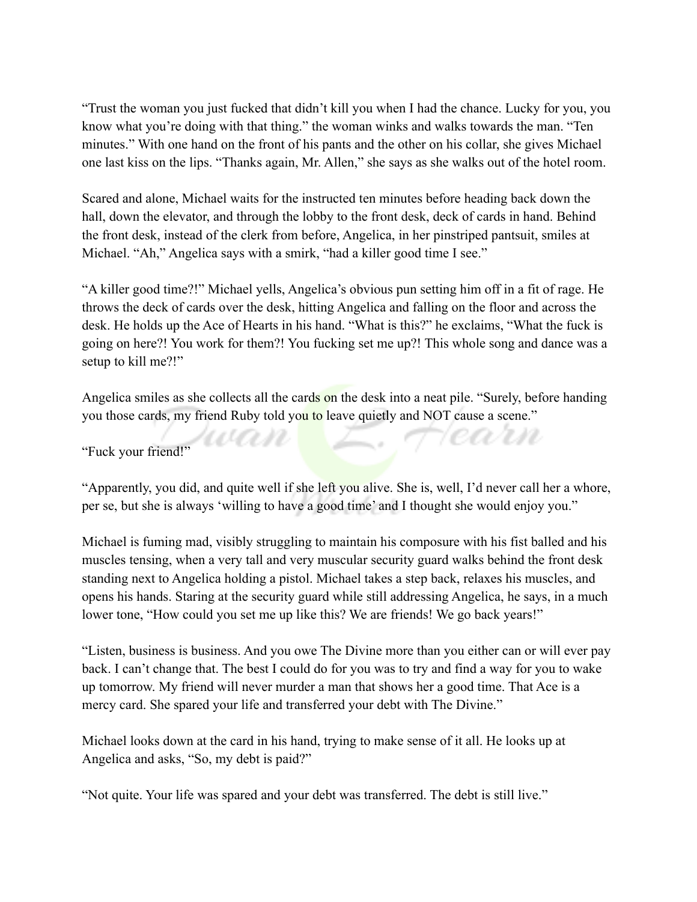"Trust the woman you just fucked that didn't kill you when I had the chance. Lucky for you, you know what you're doing with that thing." the woman winks and walks towards the man. "Ten minutes." With one hand on the front of his pants and the other on his collar, she gives Michael one last kiss on the lips. "Thanks again, Mr. Allen," she says as she walks out of the hotel room.

Scared and alone, Michael waits for the instructed ten minutes before heading back down the hall, down the elevator, and through the lobby to the front desk, deck of cards in hand. Behind the front desk, instead of the clerk from before, Angelica, in her pinstriped pantsuit, smiles at Michael. "Ah," Angelica says with a smirk, "had a killer good time I see."

"A killer good time?!" Michael yells, Angelica's obvious pun setting him off in a fit of rage. He throws the deck of cards over the desk, hitting Angelica and falling on the floor and across the desk. He holds up the Ace of Hearts in his hand. "What is this?" he exclaims, "What the fuck is going on here?! You work for them?! You fucking set me up?! This whole song and dance was a setup to kill me?!"

Angelica smiles as she collects all the cards on the desk into a neat pile. "Surely, before handing you those cards, my friend Ruby told you to leave quietly and NOT cause a scene."

www

Hearn

"Fuck your friend!"

"Apparently, you did, and quite well if she left you alive. She is, well, I'd never call her a whore, per se, but she is always 'willing to have a good time' and I thought she would enjoy you."

Michael is fuming mad, visibly struggling to maintain his composure with his fist balled and his muscles tensing, when a very tall and very muscular security guard walks behind the front desk standing next to Angelica holding a pistol. Michael takes a step back, relaxes his muscles, and opens his hands. Staring at the security guard while still addressing Angelica, he says, in a much lower tone, "How could you set me up like this? We are friends! We go back years!"

"Listen, business is business. And you owe The Divine more than you either can or will ever pay back. I can't change that. The best I could do for you was to try and find a way for you to wake up tomorrow. My friend will never murder a man that shows her a good time. That Ace is a mercy card. She spared your life and transferred your debt with The Divine."

Michael looks down at the card in his hand, trying to make sense of it all. He looks up at Angelica and asks, "So, my debt is paid?"

"Not quite. Your life was spared and your debt was transferred. The debt is still live."